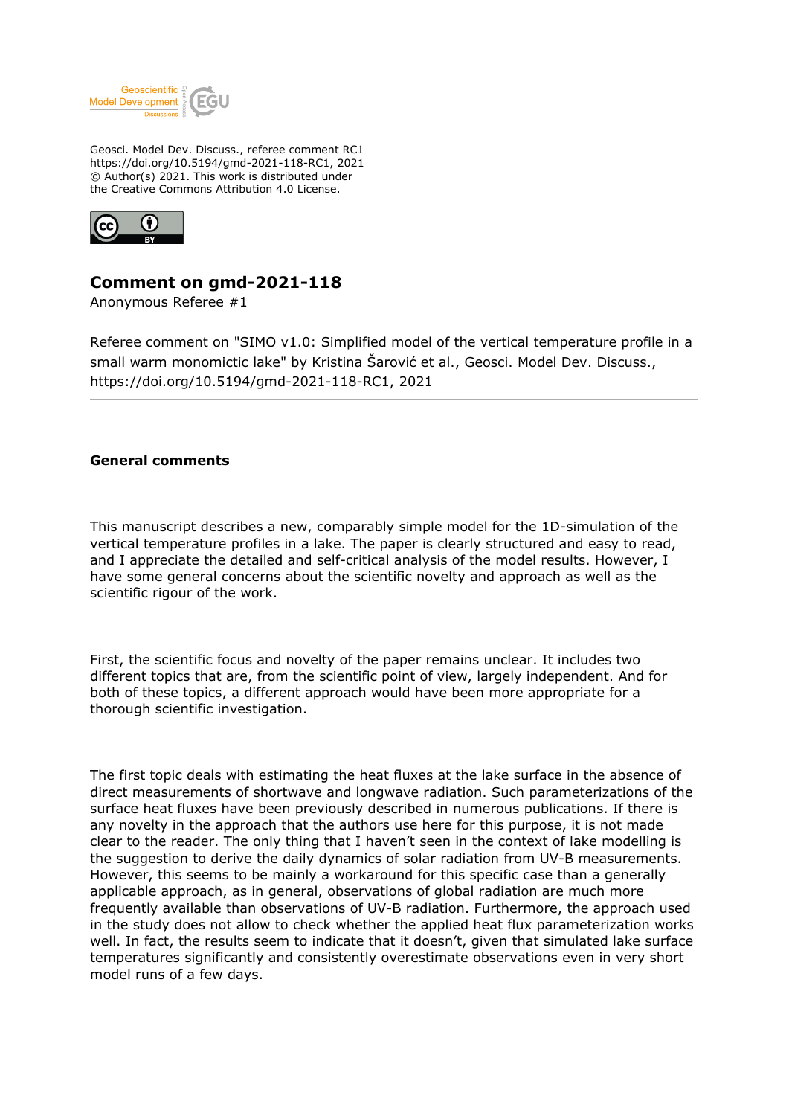

Geosci. Model Dev. Discuss., referee comment RC1 https://doi.org/10.5194/gmd-2021-118-RC1, 2021 © Author(s) 2021. This work is distributed under the Creative Commons Attribution 4.0 License.



## **Comment on gmd-2021-118**

Anonymous Referee #1

Referee comment on "SIMO v1.0: Simplified model of the vertical temperature profile in a small warm monomictic lake" by Kristina Šarović et al., Geosci. Model Dev. Discuss., https://doi.org/10.5194/gmd-2021-118-RC1, 2021

## **General comments**

This manuscript describes a new, comparably simple model for the 1D-simulation of the vertical temperature profiles in a lake. The paper is clearly structured and easy to read, and I appreciate the detailed and self-critical analysis of the model results. However, I have some general concerns about the scientific novelty and approach as well as the scientific rigour of the work.

First, the scientific focus and novelty of the paper remains unclear. It includes two different topics that are, from the scientific point of view, largely independent. And for both of these topics, a different approach would have been more appropriate for a thorough scientific investigation.

The first topic deals with estimating the heat fluxes at the lake surface in the absence of direct measurements of shortwave and longwave radiation. Such parameterizations of the surface heat fluxes have been previously described in numerous publications. If there is any novelty in the approach that the authors use here for this purpose, it is not made clear to the reader. The only thing that I haven't seen in the context of lake modelling is the suggestion to derive the daily dynamics of solar radiation from UV-B measurements. However, this seems to be mainly a workaround for this specific case than a generally applicable approach, as in general, observations of global radiation are much more frequently available than observations of UV-B radiation. Furthermore, the approach used in the study does not allow to check whether the applied heat flux parameterization works well. In fact, the results seem to indicate that it doesn't, given that simulated lake surface temperatures significantly and consistently overestimate observations even in very short model runs of a few days.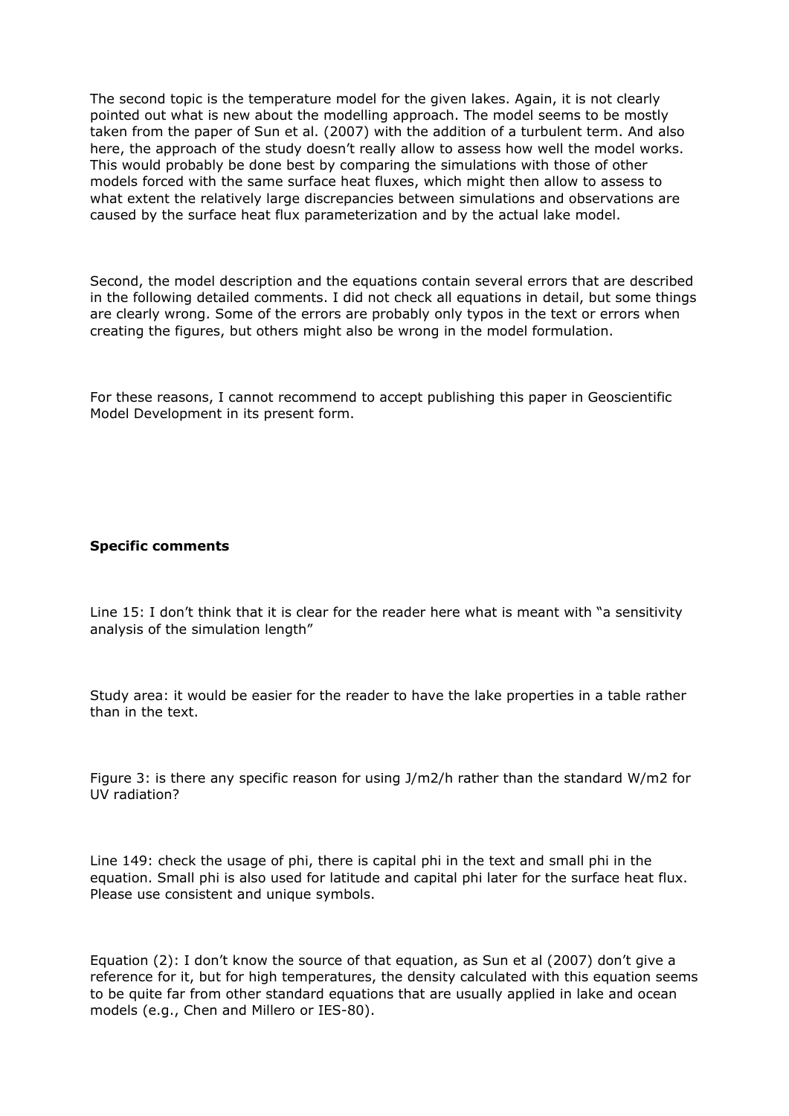The second topic is the temperature model for the given lakes. Again, it is not clearly pointed out what is new about the modelling approach. The model seems to be mostly taken from the paper of Sun et al. (2007) with the addition of a turbulent term. And also here, the approach of the study doesn't really allow to assess how well the model works. This would probably be done best by comparing the simulations with those of other models forced with the same surface heat fluxes, which might then allow to assess to what extent the relatively large discrepancies between simulations and observations are caused by the surface heat flux parameterization and by the actual lake model.

Second, the model description and the equations contain several errors that are described in the following detailed comments. I did not check all equations in detail, but some things are clearly wrong. Some of the errors are probably only typos in the text or errors when creating the figures, but others might also be wrong in the model formulation.

For these reasons, I cannot recommend to accept publishing this paper in Geoscientific Model Development in its present form.

## **Specific comments**

Line 15: I don't think that it is clear for the reader here what is meant with "a sensitivity analysis of the simulation length"

Study area: it would be easier for the reader to have the lake properties in a table rather than in the text.

Figure 3: is there any specific reason for using J/m2/h rather than the standard W/m2 for UV radiation?

Line 149: check the usage of phi, there is capital phi in the text and small phi in the equation. Small phi is also used for latitude and capital phi later for the surface heat flux. Please use consistent and unique symbols.

Equation (2): I don't know the source of that equation, as Sun et al (2007) don't give a reference for it, but for high temperatures, the density calculated with this equation seems to be quite far from other standard equations that are usually applied in lake and ocean models (e.g., Chen and Millero or IES-80).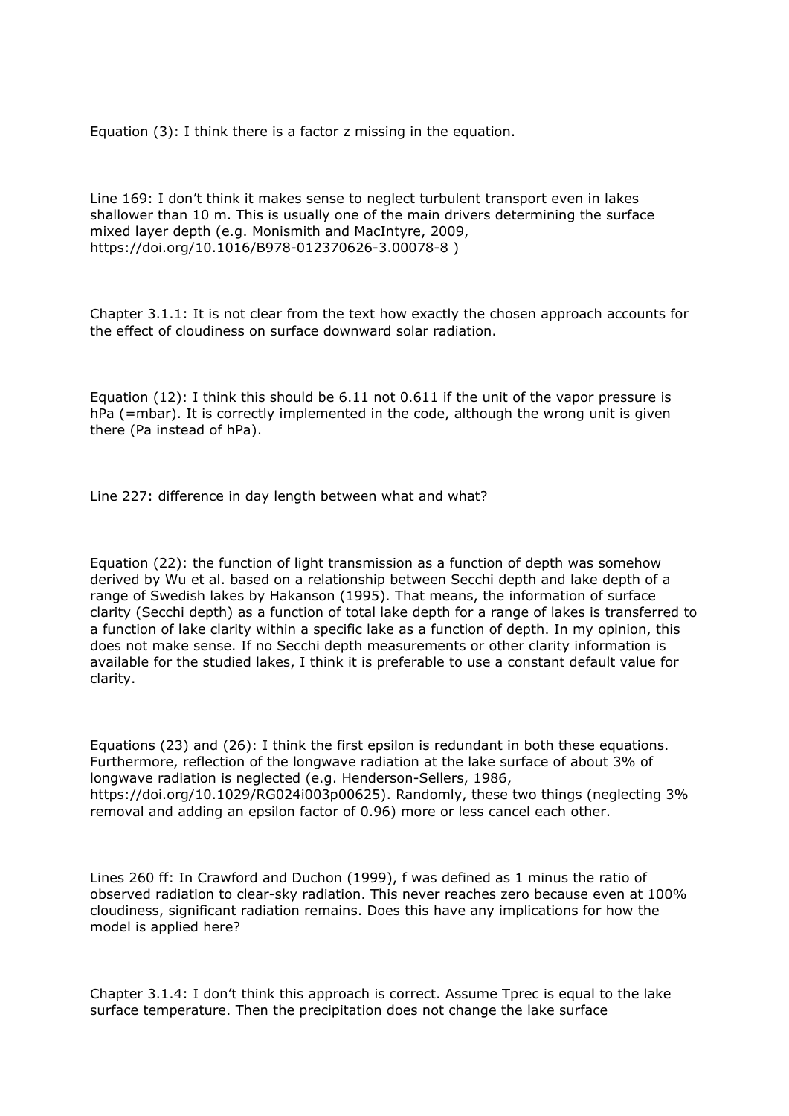Equation (3): I think there is a factor z missing in the equation.

Line 169: I don't think it makes sense to neglect turbulent transport even in lakes shallower than 10 m. This is usually one of the main drivers determining the surface mixed layer depth (e.g. Monismith and MacIntyre, 2009, https://doi.org/10.1016/B978-012370626-3.00078-8 )

Chapter 3.1.1: It is not clear from the text how exactly the chosen approach accounts for the effect of cloudiness on surface downward solar radiation.

Equation (12): I think this should be 6.11 not 0.611 if the unit of the vapor pressure is hPa (=mbar). It is correctly implemented in the code, although the wrong unit is given there (Pa instead of hPa).

Line 227: difference in day length between what and what?

Equation (22): the function of light transmission as a function of depth was somehow derived by Wu et al. based on a relationship between Secchi depth and lake depth of a range of Swedish lakes by Hakanson (1995). That means, the information of surface clarity (Secchi depth) as a function of total lake depth for a range of lakes is transferred to a function of lake clarity within a specific lake as a function of depth. In my opinion, this does not make sense. If no Secchi depth measurements or other clarity information is available for the studied lakes, I think it is preferable to use a constant default value for clarity.

Equations (23) and (26): I think the first epsilon is redundant in both these equations. Furthermore, reflection of the longwave radiation at the lake surface of about 3% of longwave radiation is neglected (e.g. Henderson-Sellers, 1986, https://doi.org/10.1029/RG024i003p00625). Randomly, these two things (neglecting 3% removal and adding an epsilon factor of 0.96) more or less cancel each other.

Lines 260 ff: In Crawford and Duchon (1999), f was defined as 1 minus the ratio of observed radiation to clear-sky radiation. This never reaches zero because even at 100% cloudiness, significant radiation remains. Does this have any implications for how the model is applied here?

Chapter 3.1.4: I don't think this approach is correct. Assume Tprec is equal to the lake surface temperature. Then the precipitation does not change the lake surface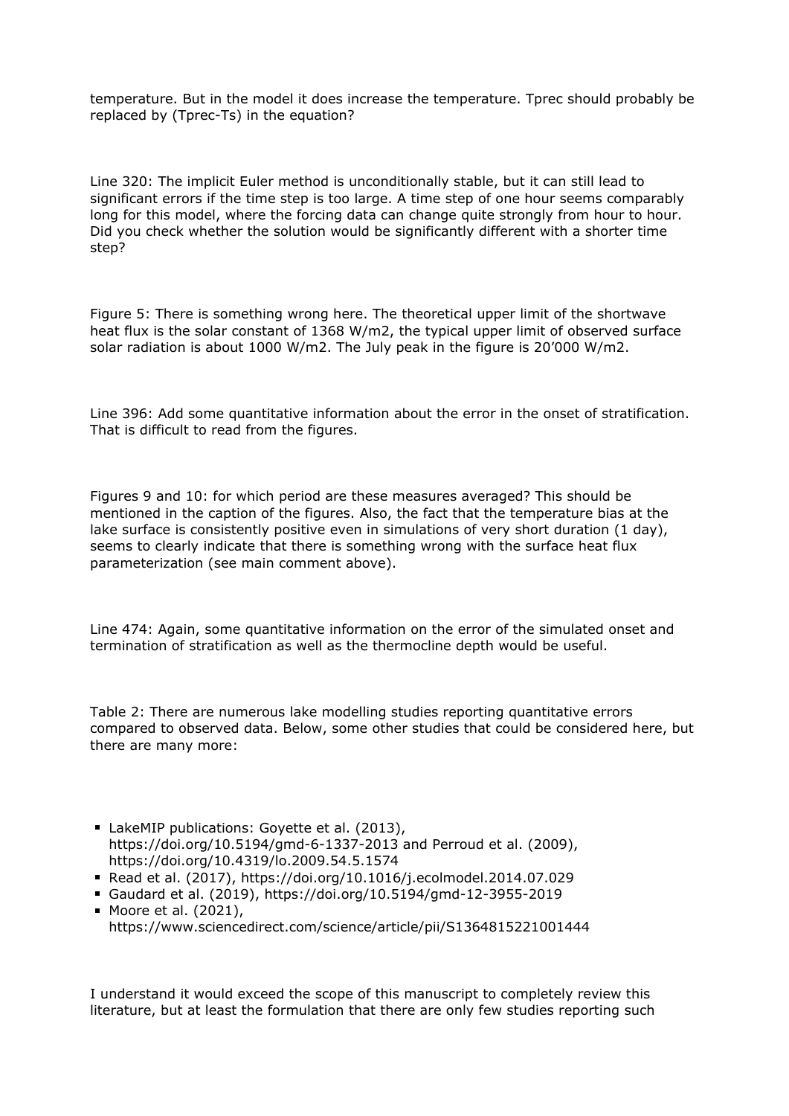temperature. But in the model it does increase the temperature. Tprec should probably be replaced by (Tprec-Ts) in the equation?

Line 320: The implicit Euler method is unconditionally stable, but it can still lead to significant errors if the time step is too large. A time step of one hour seems comparably long for this model, where the forcing data can change quite strongly from hour to hour. Did you check whether the solution would be significantly different with a shorter time step?

Figure 5: There is something wrong here. The theoretical upper limit of the shortwave heat flux is the solar constant of 1368 W/m2, the typical upper limit of observed surface solar radiation is about 1000 W/m2. The July peak in the figure is 20'000 W/m2.

Line 396: Add some quantitative information about the error in the onset of stratification. That is difficult to read from the figures.

Figures 9 and 10: for which period are these measures averaged? This should be mentioned in the caption of the figures. Also, the fact that the temperature bias at the lake surface is consistently positive even in simulations of very short duration (1 day), seems to clearly indicate that there is something wrong with the surface heat flux parameterization (see main comment above).

Line 474: Again, some quantitative information on the error of the simulated onset and termination of stratification as well as the thermocline depth would be useful.

Table 2: There are numerous lake modelling studies reporting quantitative errors compared to observed data. Below, some other studies that could be considered here, but there are many more:

- LakeMIP publications: Goyette et al. (2013), https://doi.org/10.5194/gmd-6-1337-2013 and Perroud et al. (2009), https://doi.org/10.4319/lo.2009.54.5.1574
- Read et al. (2017), https://doi.org/10.1016/j.ecolmodel.2014.07.029
- Gaudard et al. (2019), https://doi.org/10.5194/gmd-12-3955-2019
- Moore et al. (2021), https://www.sciencedirect.com/science/article/pii/S1364815221001444

I understand it would exceed the scope of this manuscript to completely review this literature, but at least the formulation that there are only few studies reporting such